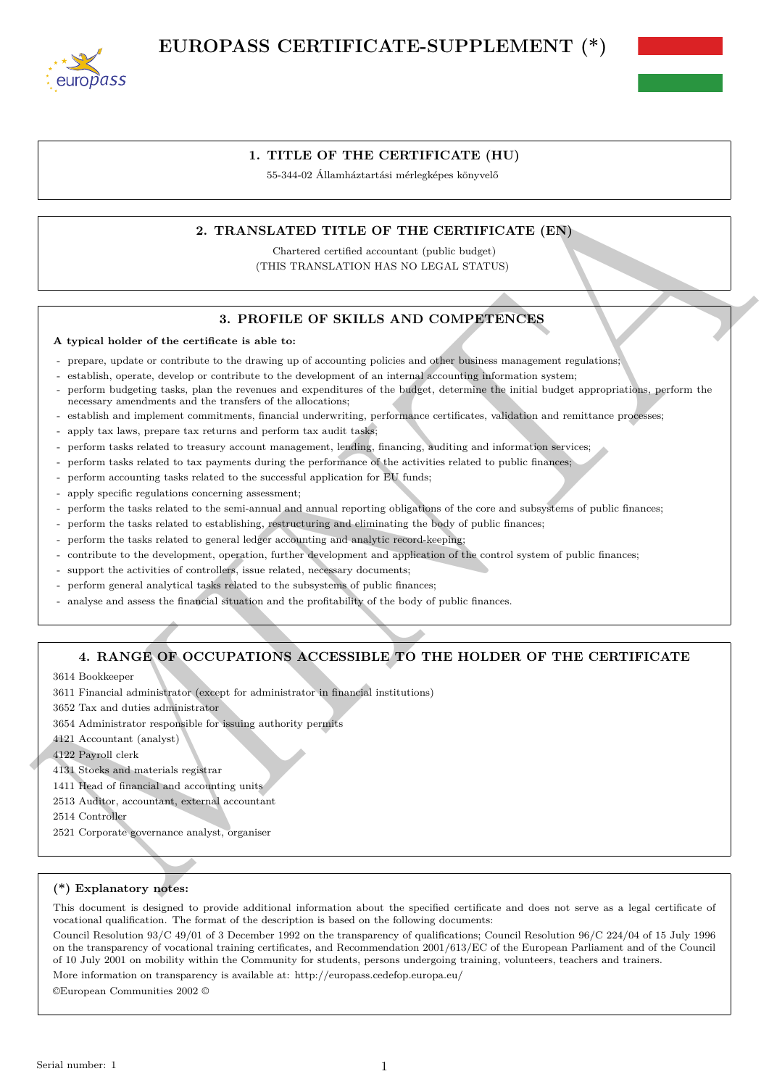



## **1. TITLE OF THE CERTIFICATE (HU)**

55-344-02 Államháztartási mérlegképes könyvelő

## **2. TRANSLATED TITLE OF THE CERTIFICATE (EN)**

Chartered certified accountant (public budget) (THIS TRANSLATION HAS NO LEGAL STATUS)

## **3. PROFILE OF SKILLS AND COMPETENCES**

#### **A typical holder of the certificate is able to:**

- prepare, update or contribute to the drawing up of accounting policies and other business management regulations;
- establish, operate, develop or contribute to the development of an internal accounting information system;
- Endset of Assambed and an anti-term (ENRIFIPICATE)<br>
2. TRANSLATED TITLE OF THE CERTIFICATE (ESP)<br>
(THE TRANSLATED TITLE OF THE CERTIFICATE (ESP)<br>
(THE TRANSLATED TITLE OF SKILLES AND COMPTENCING)<br>
4. Reprint butching of t - perform budgeting tasks, plan the revenues and expenditures of the budget, determine the initial budget appropriations, perform the necessary amendments and the transfers of the allocations;
	- establish and implement commitments, financial underwriting, performance certificates, validation and remittance processes;
	- apply tax laws, prepare tax returns and perform tax audit tasks;
	- perform tasks related to treasury account management, lending, financing, auditing and information services;
	- perform tasks related to tax payments during the performance of the activities related to public finances;
	- perform accounting tasks related to the successful application for EU funds;
	- apply specific regulations concerning assessment;
	- perform the tasks related to the semi-annual and annual reporting obligations of the core and subsystems of public finances;
	- perform the tasks related to establishing, restructuring and eliminating the body of public finances;
	- perform the tasks related to general ledger accounting and analytic record-keeping;
	- contribute to the development, operation, further development and application of the control system of public finances;
	- support the activities of controllers, issue related, necessary documents;
	- perform general analytical tasks related to the subsystems of public finances;
	- analyse and assess the financial situation and the profitability of the body of public finances.

## **4. RANGE OF OCCUPATIONS ACCESSIBLE TO THE HOLDER OF THE CERTIFICATE**

3614 Bookkeeper

- 3611 Financial administrator (except for administrator in financial institutions)
- 3652 Tax and duties administrator
- 3654 Administrator responsible for issuing authority permits

4121 Accountant (analyst)

- 4122 Payroll clerk
- 4131 Stocks and materials registrar
- 1411 Head of financial and accounting units
- 2513 Auditor, accountant, external accountant
- 2514 Controller
- 2521 Corporate governance analyst, organiser

### **(\*) Explanatory notes:**

This document is designed to provide additional information about the specified certificate and does not serve as a legal certificate of vocational qualification. The format of the description is based on the following documents:

Council Resolution 93/C 49/01 of 3 December 1992 on the transparency of qualifications; Council Resolution 96/C 224/04 of 15 July 1996 on the transparency of vocational training certificates, and Recommendation 2001/613/EC of the European Parliament and of the Council of 10 July 2001 on mobility within the Community for students, persons undergoing training, volunteers, teachers and trainers.

More information on transparency is available at: http://europass.cedefop.europa.eu/

©European Communities 2002 ©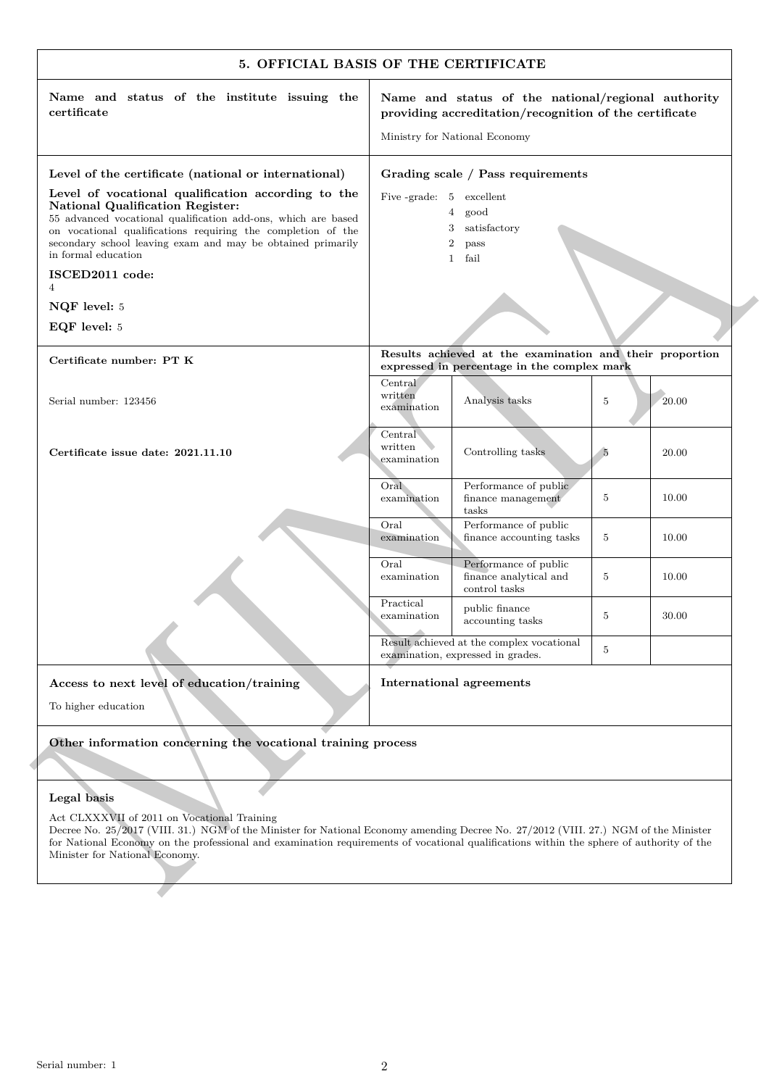|                                                                                                                                                                                                                                                                                                                                                                       | 5. OFFICIAL BASIS OF THE CERTIFICATE                                                                                                                                                                                                                                            |  |  |
|-----------------------------------------------------------------------------------------------------------------------------------------------------------------------------------------------------------------------------------------------------------------------------------------------------------------------------------------------------------------------|---------------------------------------------------------------------------------------------------------------------------------------------------------------------------------------------------------------------------------------------------------------------------------|--|--|
| Name and status of the institute issuing the<br>certificate                                                                                                                                                                                                                                                                                                           | Name and status of the national/regional authority<br>providing accreditation/recognition of the certificate<br>Ministry for National Economy                                                                                                                                   |  |  |
| Level of the certificate (national or international)<br>Level of vocational qualification according to the<br>National Qualification Register:<br>55 advanced vocational qualification add-ons, which are based<br>on vocational qualifications requiring the completion of the<br>secondary school leaving exam and may be obtained primarily<br>in formal education | Grading scale / Pass requirements<br>Five-grade: 5 excellent<br>$\overline{4}$<br>good<br>satisfactory<br>3<br>$\boldsymbol{2}$<br>pass<br>$\mathbf{1}$<br>fail                                                                                                                 |  |  |
| ISCED2011 code:<br>$\overline{4}$                                                                                                                                                                                                                                                                                                                                     |                                                                                                                                                                                                                                                                                 |  |  |
| NQF level: 5                                                                                                                                                                                                                                                                                                                                                          |                                                                                                                                                                                                                                                                                 |  |  |
| EQF level: 5                                                                                                                                                                                                                                                                                                                                                          |                                                                                                                                                                                                                                                                                 |  |  |
| Certificate number: PT K                                                                                                                                                                                                                                                                                                                                              | Results achieved at the examination and their proportion<br>expressed in percentage in the complex mark                                                                                                                                                                         |  |  |
| Serial number: 123456                                                                                                                                                                                                                                                                                                                                                 | Central<br>written<br>Analysis tasks<br>20.00<br>5<br>examination                                                                                                                                                                                                               |  |  |
| Certificate issue date: 2021.11.10                                                                                                                                                                                                                                                                                                                                    | Central<br>written<br>Controlling tasks<br>- 5<br>20.00<br>examination                                                                                                                                                                                                          |  |  |
|                                                                                                                                                                                                                                                                                                                                                                       | Oral<br>Performance of public<br>finance management<br>10.00<br>examination<br>5<br>tasks                                                                                                                                                                                       |  |  |
|                                                                                                                                                                                                                                                                                                                                                                       | Oral<br>Performance of public<br>finance accounting tasks<br>examination<br>5<br>10.00                                                                                                                                                                                          |  |  |
|                                                                                                                                                                                                                                                                                                                                                                       | Oral<br>Performance of public<br>finance analytical and<br>5<br>10.00<br>examination<br>control tasks                                                                                                                                                                           |  |  |
|                                                                                                                                                                                                                                                                                                                                                                       | Practical<br>public finance<br>30.00<br>examination<br>5<br>accounting tasks                                                                                                                                                                                                    |  |  |
|                                                                                                                                                                                                                                                                                                                                                                       | Result achieved at the complex vocational<br>5<br>examination, expressed in grades.                                                                                                                                                                                             |  |  |
| Access to next level of education/training                                                                                                                                                                                                                                                                                                                            | International agreements                                                                                                                                                                                                                                                        |  |  |
| To higher education                                                                                                                                                                                                                                                                                                                                                   |                                                                                                                                                                                                                                                                                 |  |  |
| Other information concerning the vocational training process                                                                                                                                                                                                                                                                                                          |                                                                                                                                                                                                                                                                                 |  |  |
|                                                                                                                                                                                                                                                                                                                                                                       |                                                                                                                                                                                                                                                                                 |  |  |
| Legal basis                                                                                                                                                                                                                                                                                                                                                           |                                                                                                                                                                                                                                                                                 |  |  |
| Act CLXXXVII of 2011 on Vocational Training<br>Minister for National Economy.                                                                                                                                                                                                                                                                                         | Decree No. 25/2017 (VIII. 31.) NGM of the Minister for National Economy amending Decree No. 27/2012 (VIII. 27.) NGM of the Minister<br>for National Economy on the professional and examination requirements of vocational qualifications within the sphere of authority of the |  |  |
|                                                                                                                                                                                                                                                                                                                                                                       |                                                                                                                                                                                                                                                                                 |  |  |